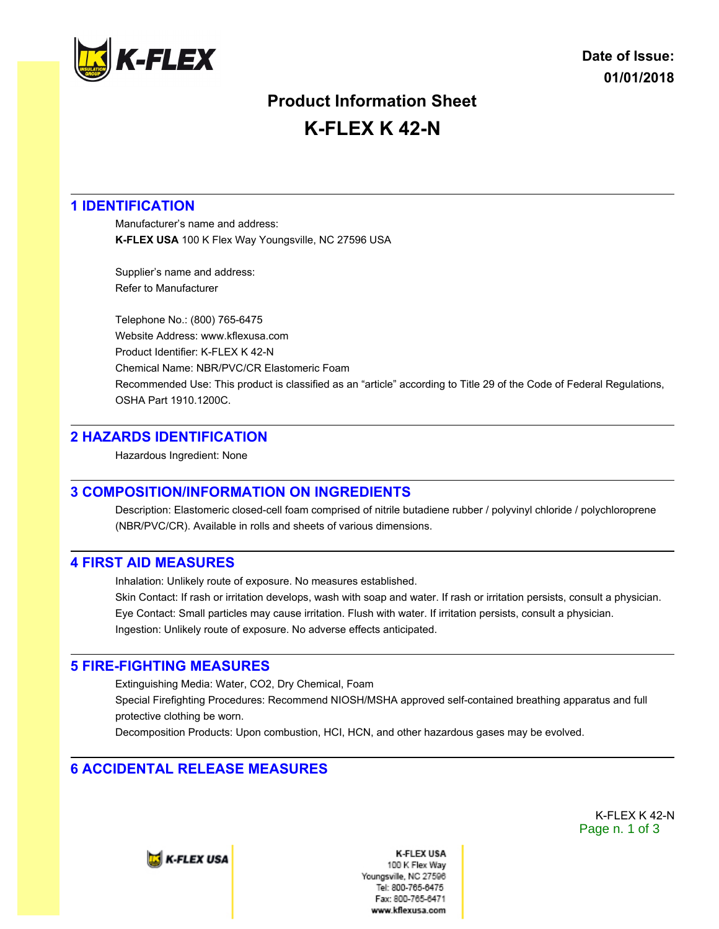

# **Product Information Sheet K-FLEX K 42-N**

## **1 IDENTIFICATION**

Manufacturer's name and address: **K-FLEX USA** 100 K Flex Way Youngsville, NC 27596 USA

Supplier's name and address: Refer to Manufacturer

Telephone No.: (800) 765-6475 Website Address: www.kflexusa.com Product Identifier: K-FLEX K 42-N Chemical Name: NBR/PVC/CR Elastomeric Foam Recommended Use: This product is classified as an "article" according to Title 29 of the Code of Federal Regulations, OSHA Part 1910.1200C.

## **2 HAZARDS IDENTIFICATION**

Hazardous Ingredient: None

## **3 COMPOSITION/INFORMATION ON INGREDIENTS**

Description: Elastomeric closed-cell foam comprised of nitrile butadiene rubber / polyvinyl chloride / polychloroprene (NBR/PVC/CR). Available in rolls and sheets of various dimensions.

## **4 FIRST AID MEASURES**

Inhalation: Unlikely route of exposure. No measures established.

Skin Contact: If rash or irritation develops, wash with soap and water. If rash or irritation persists, consult a physician. Eye Contact: Small particles may cause irritation. Flush with water. If irritation persists, consult a physician. Ingestion: Unlikely route of exposure. No adverse effects anticipated.

## **5 FIRE-FIGHTING MEASURES**

Extinguishing Media: Water, CO2, Dry Chemical, Foam Special Firefighting Procedures: Recommend NIOSH/MSHA approved self-contained breathing apparatus and full protective clothing be worn.

Decomposition Products: Upon combustion, HCI, HCN, and other hazardous gases may be evolved.

# **6 ACCIDENTAL RELEASE MEASURES**

K-FLEX K 42-N Page n. 1 of 3

**E** K-FLEX USA

**K-FLEX USA** 100 K Flex Wav Youngsville, NC 27596 Tel: 800-765-6475 Fax: 800-765-6471 www.kflexusa.com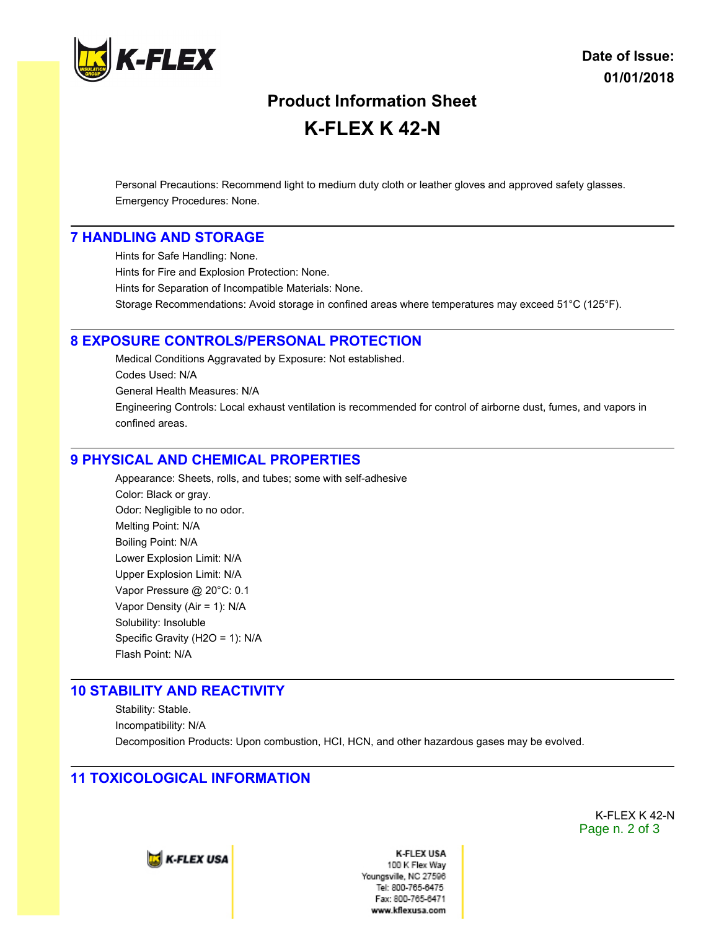

# **Product Information Sheet K-FLEX K 42-N**

Personal Precautions: Recommend light to medium duty cloth or leather gloves and approved safety glasses. Emergency Procedures: None.

#### **7 HANDLING AND STORAGE**

Hints for Safe Handling: None. Hints for Fire and Explosion Protection: None. Hints for Separation of Incompatible Materials: None. Storage Recommendations: Avoid storage in confined areas where temperatures may exceed 51°C (125°F).

#### **8 EXPOSURE CONTROLS/PERSONAL PROTECTION**

Medical Conditions Aggravated by Exposure: Not established. Codes Used: N/A General Health Measures: N/A Engineering Controls: Local exhaust ventilation is recommended for control of airborne dust, fumes, and vapors in confined areas.

#### **9 PHYSICAL AND CHEMICAL PROPERTIES**

Appearance: Sheets, rolls, and tubes; some with self-adhesive Color: Black or gray. Odor: Negligible to no odor. Melting Point: N/A Boiling Point: N/A Lower Explosion Limit: N/A Upper Explosion Limit: N/A Vapor Pressure @ 20°C: 0.1 Vapor Density (Air = 1): N/A Solubility: Insoluble Specific Gravity (H2O = 1): N/A Flash Point: N/A

#### **10 STABILITY AND REACTIVITY**

Stability: Stable. Incompatibility: N/A Decomposition Products: Upon combustion, HCI, HCN, and other hazardous gases may be evolved.

## **11 TOXICOLOGICAL INFORMATION**

K-FLEX K 42-N Page n. 2 of 3



**K-FLEX USA** 100 K Flex Way Youngsville, NC 27596 Tel: 800-765-6475 Fax: 800-765-6471 www.kflexusa.com